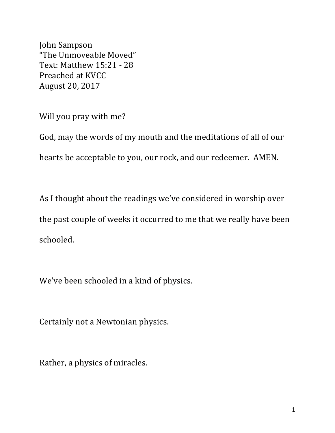John Sampson "The Unmoveable Moved" Text: Matthew 15:21 - 28 Preached at KVCC August 20, 2017

Will you pray with me?

God, may the words of my mouth and the meditations of all of our hearts be acceptable to you, our rock, and our redeemer. AMEN.

As I thought about the readings we've considered in worship over the past couple of weeks it occurred to me that we really have been schooled.

We've been schooled in a kind of physics.

Certainly not a Newtonian physics.

Rather, a physics of miracles.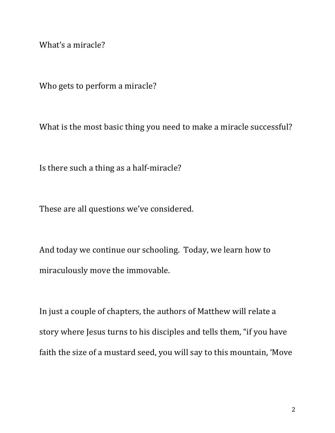What's a miracle?

Who gets to perform a miracle?

What is the most basic thing you need to make a miracle successful?

Is there such a thing as a half-miracle?

These are all questions we've considered.

And today we continue our schooling. Today, we learn how to miraculously move the immovable.

In just a couple of chapters, the authors of Matthew will relate a story where Jesus turns to his disciples and tells them, "if you have faith the size of a mustard seed, you will say to this mountain, 'Move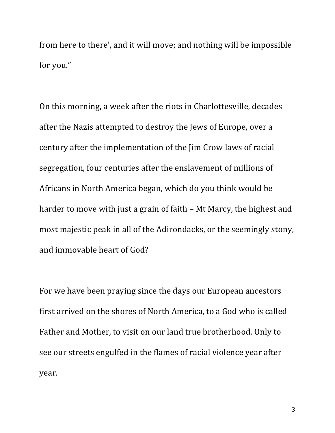from here to there', and it will move; and nothing will be impossible for you."

On this morning, a week after the riots in Charlottesville, decades after the Nazis attempted to destroy the Jews of Europe, over a century after the implementation of the  $\lim$  Crow laws of racial segregation, four centuries after the enslavement of millions of Africans in North America began, which do you think would be harder to move with just a grain of faith  $-$  Mt Marcy, the highest and most majestic peak in all of the Adirondacks, or the seemingly stony, and immovable heart of God?

For we have been praying since the days our European ancestors first arrived on the shores of North America, to a God who is called Father and Mother, to visit on our land true brotherhood. Only to see our streets engulfed in the flames of racial violence year after year.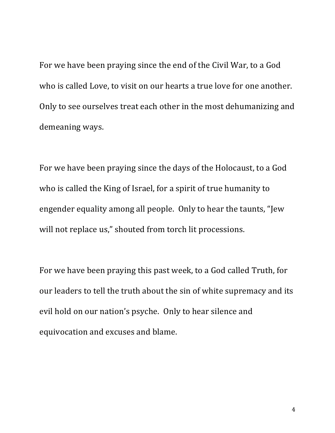For we have been praying since the end of the Civil War, to a God who is called Love, to visit on our hearts a true love for one another. Only to see ourselves treat each other in the most dehumanizing and demeaning ways.

For we have been praying since the days of the Holocaust, to a God who is called the King of Israel, for a spirit of true humanity to engender equality among all people. Only to hear the taunts, "Jew will not replace us," shouted from torch lit processions.

For we have been praying this past week, to a God called Truth, for our leaders to tell the truth about the sin of white supremacy and its evil hold on our nation's psyche. Only to hear silence and equivocation and excuses and blame.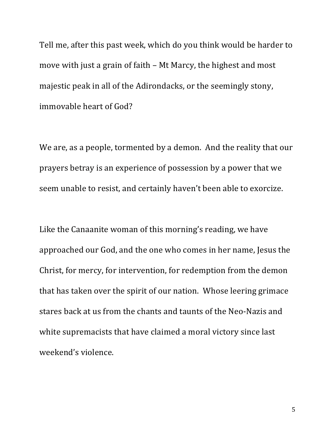Tell me, after this past week, which do you think would be harder to move with just a grain of faith  $-$  Mt Marcy, the highest and most majestic peak in all of the Adirondacks, or the seemingly stony, immovable heart of God?

We are, as a people, tormented by a demon. And the reality that our prayers betray is an experience of possession by a power that we seem unable to resist, and certainly haven't been able to exorcize.

Like the Canaanite woman of this morning's reading, we have approached our God, and the one who comes in her name, Jesus the Christ, for mercy, for intervention, for redemption from the demon that has taken over the spirit of our nation. Whose leering grimace stares back at us from the chants and taunts of the Neo-Nazis and white supremacists that have claimed a moral victory since last weekend's violence.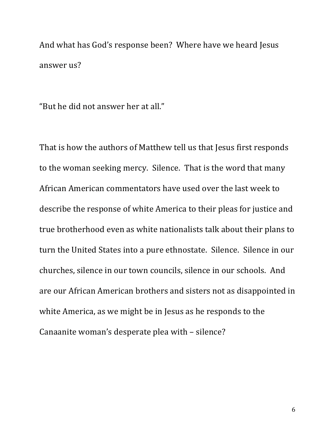And what has God's response been? Where have we heard Jesus answer us?

"But he did not answer her at all."

That is how the authors of Matthew tell us that Jesus first responds to the woman seeking mercy. Silence. That is the word that many African American commentators have used over the last week to describe the response of white America to their pleas for justice and true brotherhood even as white nationalists talk about their plans to turn the United States into a pure ethnostate. Silence. Silence in our churches, silence in our town councils, silence in our schools. And are our African American brothers and sisters not as disappointed in white America, as we might be in Jesus as he responds to the Canaanite woman's desperate plea with - silence?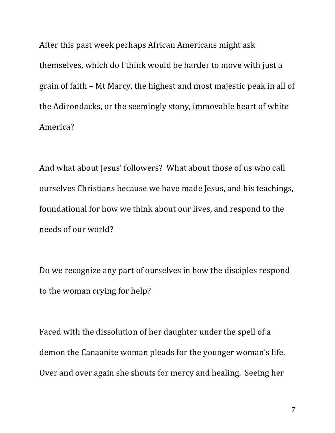After this past week perhaps African Americans might ask themselves, which do I think would be harder to move with just a grain of faith – Mt Marcy, the highest and most majestic peak in all of the Adirondacks, or the seemingly stony, immovable heart of white America?

And what about Jesus' followers? What about those of us who call ourselves Christians because we have made Jesus, and his teachings, foundational for how we think about our lives, and respond to the needs of our world?

Do we recognize any part of ourselves in how the disciples respond to the woman crying for help?

Faced with the dissolution of her daughter under the spell of a demon the Canaanite woman pleads for the younger woman's life. Over and over again she shouts for mercy and healing. Seeing her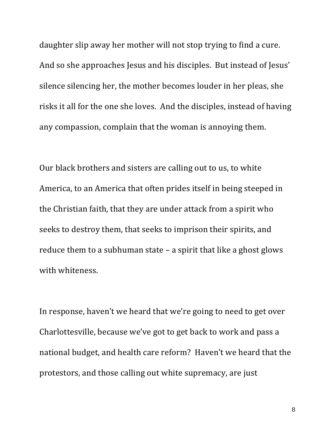daughter slip away her mother will not stop trying to find a cure. And so she approaches Jesus and his disciples. But instead of Jesus' silence silencing her, the mother becomes louder in her pleas, she risks it all for the one she loves. And the disciples, instead of having any compassion, complain that the woman is annoying them.

Our black brothers and sisters are calling out to us, to white America, to an America that often prides itself in being steeped in the Christian faith, that they are under attack from a spirit who seeks to destroy them, that seeks to imprison their spirits, and reduce them to a subhuman state  $-$  a spirit that like a ghost glows with whiteness.

In response, haven't we heard that we're going to need to get over Charlottesville, because we've got to get back to work and pass a national budget, and health care reform? Haven't we heard that the protestors, and those calling out white supremacy, are just

8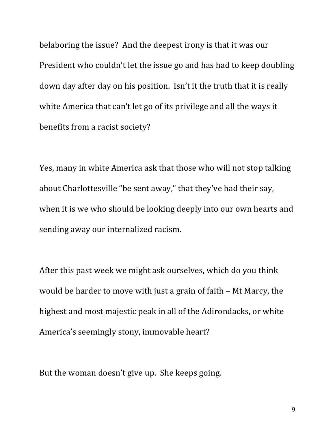belaboring the issue? And the deepest irony is that it was our President who couldn't let the issue go and has had to keep doubling down day after day on his position. Isn't it the truth that it is really white America that can't let go of its privilege and all the ways it benefits from a racist society?

Yes, many in white America ask that those who will not stop talking about Charlottesville "be sent away," that they've had their say, when it is we who should be looking deeply into our own hearts and sending away our internalized racism.

After this past week we might ask ourselves, which do you think would be harder to move with just a grain of faith  $-$  Mt Marcy, the highest and most majestic peak in all of the Adirondacks, or white America's seemingly stony, immovable heart?

But the woman doesn't give up. She keeps going.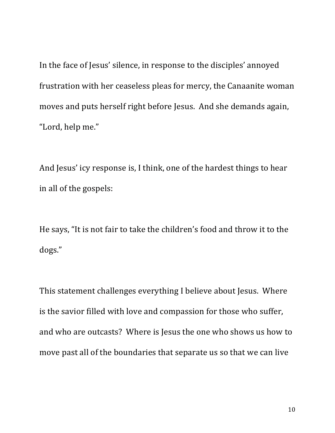In the face of Jesus' silence, in response to the disciples' annoyed frustration with her ceaseless pleas for mercy, the Canaanite woman moves and puts herself right before Jesus. And she demands again, "Lord, help me."

And Jesus' icy response is, I think, one of the hardest things to hear in all of the gospels:

He says, "It is not fair to take the children's food and throw it to the dogs."

This statement challenges everything I believe about Jesus. Where is the savior filled with love and compassion for those who suffer, and who are outcasts? Where is Jesus the one who shows us how to move past all of the boundaries that separate us so that we can live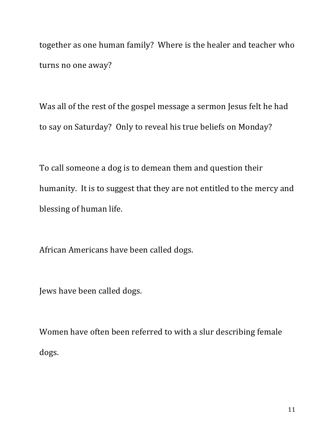together as one human family? Where is the healer and teacher who turns no one away?

Was all of the rest of the gospel message a sermon Jesus felt he had to say on Saturday? Only to reveal his true beliefs on Monday?

To call someone a dog is to demean them and question their humanity. It is to suggest that they are not entitled to the mercy and blessing of human life.

African Americans have been called dogs.

Jews have been called dogs.

Women have often been referred to with a slur describing female dogs.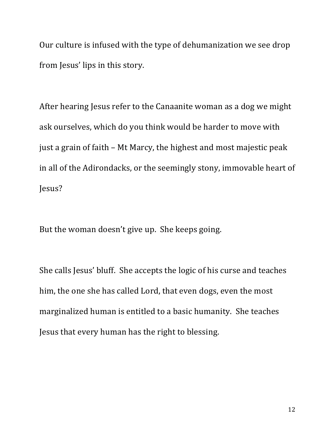Our culture is infused with the type of dehumanization we see drop from Jesus' lips in this story.

After hearing Jesus refer to the Canaanite woman as a dog we might ask ourselves, which do you think would be harder to move with just a grain of faith  $-$  Mt Marcy, the highest and most majestic peak in all of the Adirondacks, or the seemingly stony, immovable heart of Jesus?

But the woman doesn't give up. She keeps going.

She calls Jesus' bluff. She accepts the logic of his curse and teaches him, the one she has called Lord, that even dogs, even the most marginalized human is entitled to a basic humanity. She teaches Jesus that every human has the right to blessing.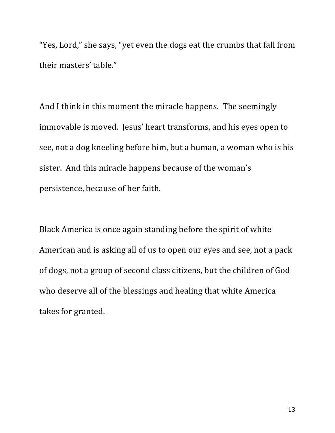"Yes, Lord," she says, "yet even the dogs eat the crumbs that fall from their masters' table."

And I think in this moment the miracle happens. The seemingly immovable is moved. Jesus' heart transforms, and his eyes open to see, not a dog kneeling before him, but a human, a woman who is his sister. And this miracle happens because of the woman's persistence, because of her faith.

Black America is once again standing before the spirit of white American and is asking all of us to open our eyes and see, not a pack of dogs, not a group of second class citizens, but the children of God who deserve all of the blessings and healing that white America takes for granted.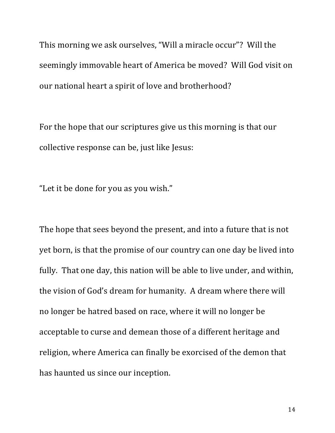This morning we ask ourselves, "Will a miracle occur"? Will the seemingly immovable heart of America be moved? Will God visit on our national heart a spirit of love and brotherhood?

For the hope that our scriptures give us this morning is that our collective response can be, just like Jesus:

"Let it be done for you as you wish."

The hope that sees beyond the present, and into a future that is not yet born, is that the promise of our country can one day be lived into fully. That one day, this nation will be able to live under, and within, the vision of God's dream for humanity. A dream where there will no longer be hatred based on race, where it will no longer be acceptable to curse and demean those of a different heritage and religion, where America can finally be exorcised of the demon that has haunted us since our inception.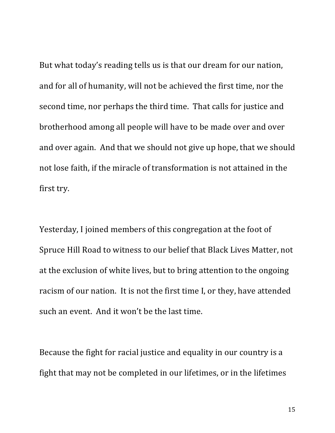But what today's reading tells us is that our dream for our nation, and for all of humanity, will not be achieved the first time, nor the second time, nor perhaps the third time. That calls for justice and brotherhood among all people will have to be made over and over and over again. And that we should not give up hope, that we should not lose faith, if the miracle of transformation is not attained in the first try.

Yesterday, I joined members of this congregation at the foot of Spruce Hill Road to witness to our belief that Black Lives Matter, not at the exclusion of white lives, but to bring attention to the ongoing racism of our nation. It is not the first time I, or they, have attended such an event. And it won't be the last time.

Because the fight for racial justice and equality in our country is a fight that may not be completed in our lifetimes, or in the lifetimes